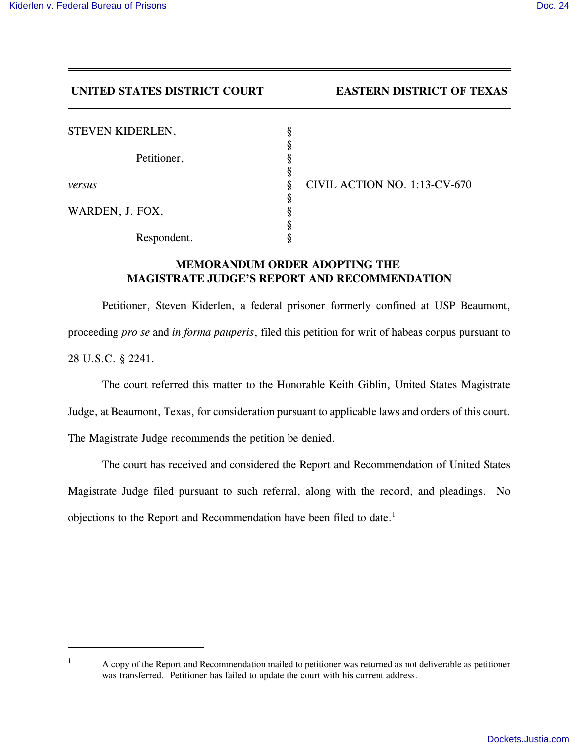## **UNITED STATES DISTRICT COURT EASTERN DISTRICT OF TEXAS**

| <b>STEVEN KIDERLEN,</b> | 8 |              |
|-------------------------|---|--------------|
| Petitioner,<br>versus   |   |              |
|                         |   |              |
|                         |   |              |
|                         | ş | <b>CIVIL</b> |
| WARDEN, J. FOX,         |   |              |
|                         |   |              |
| Respondent.             |   |              |

*ACTION NO. 1:13-CV-670* 

## **MEMORANDUM ORDER ADOPTING THE MAGISTRATE JUDGE'S REPORT AND RECOMMENDATION**

Petitioner, Steven Kiderlen, a federal prisoner formerly confined at USP Beaumont, proceeding *pro se* and *in forma pauperis*, filed this petition for writ of habeas corpus pursuant to 28 U.S.C. § 2241.

The court referred this matter to the Honorable Keith Giblin, United States Magistrate

Judge, at Beaumont, Texas, for consideration pursuant to applicable laws and orders of this court.

The Magistrate Judge recommends the petition be denied.

The court has received and considered the Report and Recommendation of United States Magistrate Judge filed pursuant to such referral, along with the record, and pleadings. No objections to the Report and Recommendation have been filed to date.<sup>1</sup>

<sup>&</sup>lt;sup>1</sup> A copy of the Report and Recommendation mailed to petitioner was returned as not deliverable as petitioner was transferred. Petitioner has failed to update the court with his current address.